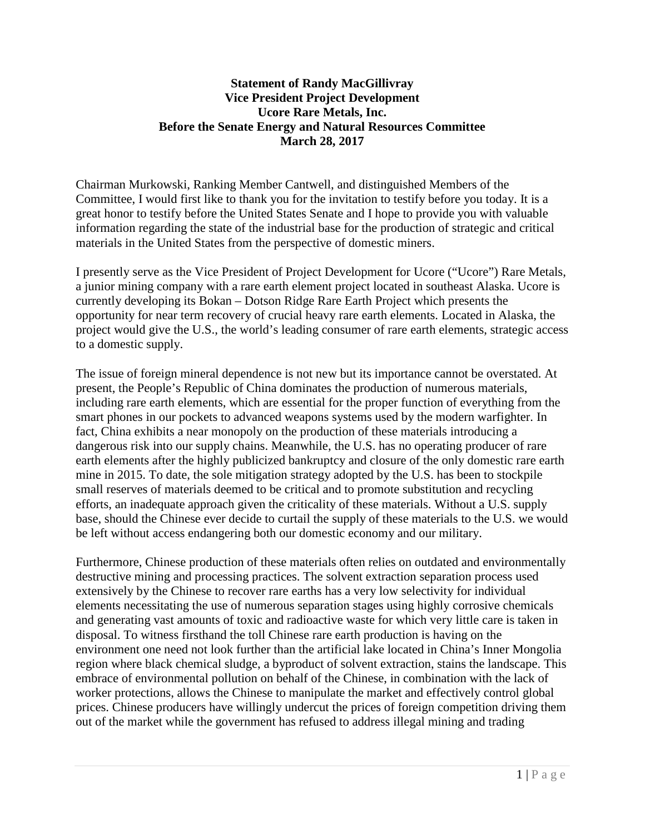## **Statement of Randy MacGillivray Vice President Project Development Ucore Rare Metals, Inc. Before the Senate Energy and Natural Resources Committee March 28, 2017**

Chairman Murkowski, Ranking Member Cantwell, and distinguished Members of the Committee, I would first like to thank you for the invitation to testify before you today. It is a great honor to testify before the United States Senate and I hope to provide you with valuable information regarding the state of the industrial base for the production of strategic and critical materials in the United States from the perspective of domestic miners.

I presently serve as the Vice President of Project Development for Ucore ("Ucore") Rare Metals, a junior mining company with a rare earth element project located in southeast Alaska. Ucore is currently developing its Bokan – Dotson Ridge Rare Earth Project which presents the opportunity for near term recovery of crucial heavy rare earth elements. Located in Alaska, the project would give the U.S., the world's leading consumer of rare earth elements, strategic access to a domestic supply.

The issue of foreign mineral dependence is not new but its importance cannot be overstated. At present, the People's Republic of China dominates the production of numerous materials, including rare earth elements, which are essential for the proper function of everything from the smart phones in our pockets to advanced weapons systems used by the modern warfighter. In fact, China exhibits a near monopoly on the production of these materials introducing a dangerous risk into our supply chains. Meanwhile, the U.S. has no operating producer of rare earth elements after the highly publicized bankruptcy and closure of the only domestic rare earth mine in 2015. To date, the sole mitigation strategy adopted by the U.S. has been to stockpile small reserves of materials deemed to be critical and to promote substitution and recycling efforts, an inadequate approach given the criticality of these materials. Without a U.S. supply base, should the Chinese ever decide to curtail the supply of these materials to the U.S. we would be left without access endangering both our domestic economy and our military.

Furthermore, Chinese production of these materials often relies on outdated and environmentally destructive mining and processing practices. The solvent extraction separation process used extensively by the Chinese to recover rare earths has a very low selectivity for individual elements necessitating the use of numerous separation stages using highly corrosive chemicals and generating vast amounts of toxic and radioactive waste for which very little care is taken in disposal. To witness firsthand the toll Chinese rare earth production is having on the environment one need not look further than the artificial lake located in China's Inner Mongolia region where black chemical sludge, a byproduct of solvent extraction, stains the landscape. This embrace of environmental pollution on behalf of the Chinese, in combination with the lack of worker protections, allows the Chinese to manipulate the market and effectively control global prices. Chinese producers have willingly undercut the prices of foreign competition driving them out of the market while the government has refused to address illegal mining and trading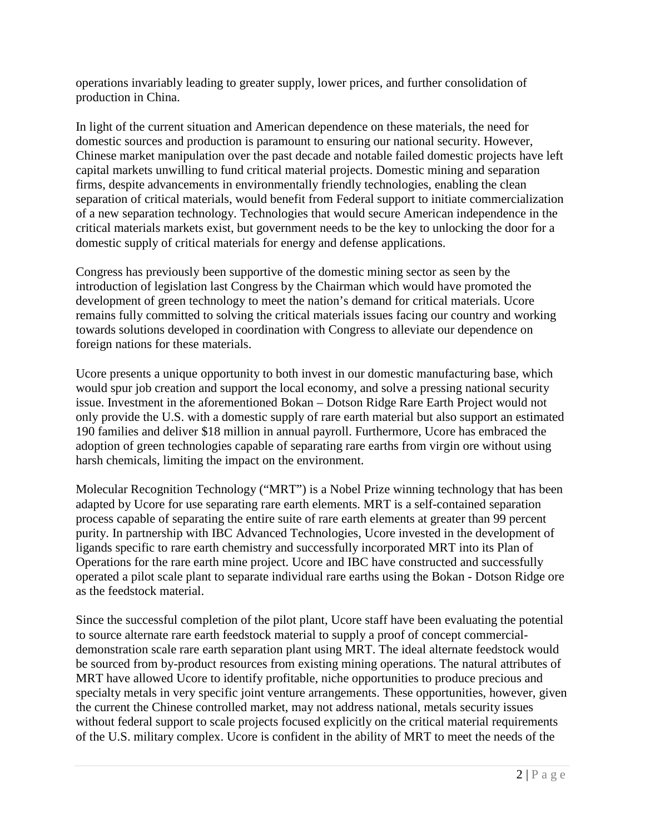operations invariably leading to greater supply, lower prices, and further consolidation of production in China.

In light of the current situation and American dependence on these materials, the need for domestic sources and production is paramount to ensuring our national security. However, Chinese market manipulation over the past decade and notable failed domestic projects have left capital markets unwilling to fund critical material projects. Domestic mining and separation firms, despite advancements in environmentally friendly technologies, enabling the clean separation of critical materials, would benefit from Federal support to initiate commercialization of a new separation technology. Technologies that would secure American independence in the critical materials markets exist, but government needs to be the key to unlocking the door for a domestic supply of critical materials for energy and defense applications.

Congress has previously been supportive of the domestic mining sector as seen by the introduction of legislation last Congress by the Chairman which would have promoted the development of green technology to meet the nation's demand for critical materials. Ucore remains fully committed to solving the critical materials issues facing our country and working towards solutions developed in coordination with Congress to alleviate our dependence on foreign nations for these materials.

Ucore presents a unique opportunity to both invest in our domestic manufacturing base, which would spur job creation and support the local economy, and solve a pressing national security issue. Investment in the aforementioned Bokan – Dotson Ridge Rare Earth Project would not only provide the U.S. with a domestic supply of rare earth material but also support an estimated 190 families and deliver \$18 million in annual payroll. Furthermore, Ucore has embraced the adoption of green technologies capable of separating rare earths from virgin ore without using harsh chemicals, limiting the impact on the environment.

Molecular Recognition Technology ("MRT") is a Nobel Prize winning technology that has been adapted by Ucore for use separating rare earth elements. MRT is a self-contained separation process capable of separating the entire suite of rare earth elements at greater than 99 percent purity. In partnership with IBC Advanced Technologies, Ucore invested in the development of ligands specific to rare earth chemistry and successfully incorporated MRT into its Plan of Operations for the rare earth mine project. Ucore and IBC have constructed and successfully operated a pilot scale plant to separate individual rare earths using the Bokan - Dotson Ridge ore as the feedstock material.

Since the successful completion of the pilot plant, Ucore staff have been evaluating the potential to source alternate rare earth feedstock material to supply a proof of concept commercialdemonstration scale rare earth separation plant using MRT. The ideal alternate feedstock would be sourced from by-product resources from existing mining operations. The natural attributes of MRT have allowed Ucore to identify profitable, niche opportunities to produce precious and specialty metals in very specific joint venture arrangements. These opportunities, however, given the current the Chinese controlled market, may not address national, metals security issues without federal support to scale projects focused explicitly on the critical material requirements of the U.S. military complex. Ucore is confident in the ability of MRT to meet the needs of the